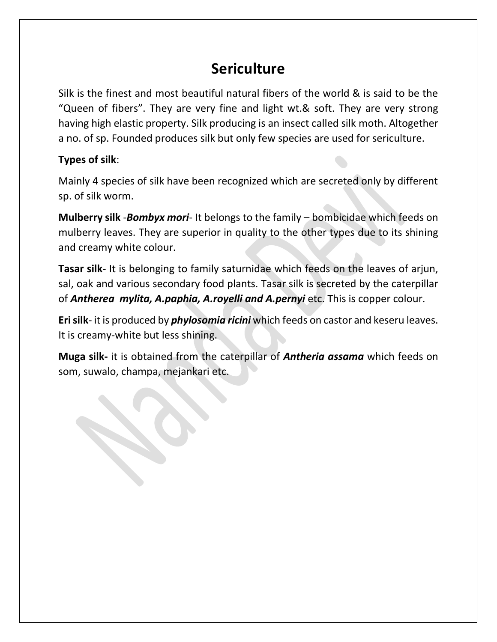# **Sericulture**

Silk is the finest and most beautiful natural fibers of the world & is said to be the "Queen of fibers". They are very fine and light wt.& soft. They are very strong having high elastic property. Silk producing is an insect called silk moth. Altogether a no. of sp. Founded produces silk but only few species are used for sericulture.

# **Types of silk**:

Mainly 4 species of silk have been recognized which are secreted only by different sp. of silk worm.

**Mulberry silk** -*Bombyx mori*- It belongs to the family – bombicidae which feeds on mulberry leaves. They are superior in quality to the other types due to its shining and creamy white colour.

**Tasar silk-** It is belonging to family saturnidae which feeds on the leaves of arjun, sal, oak and various secondary food plants. Tasar silk is secreted by the caterpillar of *Antherea mylita, A.paphia, A.royelli and A.pernyi* etc. This is copper colour.

**Eri silk**- it is produced by *phylosomia ricini* which feeds on castor and keseru leaves. It is creamy-white but less shining.

**Muga silk-** it is obtained from the caterpillar of *Antheria assama* which feeds on som, suwalo, champa, mejankari etc.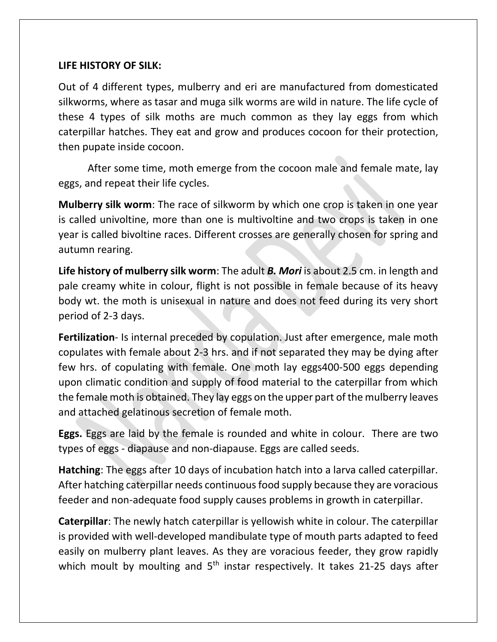### **LIFE HISTORY OF SILK:**

Out of 4 different types, mulberry and eri are manufactured from domesticated silkworms, where as tasar and muga silk worms are wild in nature. The life cycle of these 4 types of silk moths are much common as they lay eggs from which caterpillar hatches. They eat and grow and produces cocoon for their protection, then pupate inside cocoon.

After some time, moth emerge from the cocoon male and female mate, lay eggs, and repeat their life cycles.

**Mulberry silk worm**: The race of silkworm by which one crop is taken in one year is called univoltine, more than one is multivoltine and two crops is taken in one year is called bivoltine races. Different crosses are generally chosen for spring and autumn rearing.

**Life history of mulberry silk worm**: The adult *B. Mori* is about 2.5 cm. in length and pale creamy white in colour, flight is not possible in female because of its heavy body wt. the moth is unisexual in nature and does not feed during its very short period of 2-3 days.

**Fertilization**- Is internal preceded by copulation. Just after emergence, male moth copulates with female about 2-3 hrs. and if not separated they may be dying after few hrs. of copulating with female. One moth lay eggs400-500 eggs depending upon climatic condition and supply of food material to the caterpillar from which the female moth is obtained. They lay eggs on the upper part of the mulberry leaves and attached gelatinous secretion of female moth.

**Eggs.** Eggs are laid by the female is rounded and white in colour. There are two types of eggs - diapause and non-diapause. Eggs are called seeds.

**Hatching**: The eggs after 10 days of incubation hatch into a larva called caterpillar. After hatching caterpillar needs continuous food supply because they are voracious feeder and non-adequate food supply causes problems in growth in caterpillar.

**Caterpillar**: The newly hatch caterpillar is yellowish white in colour. The caterpillar is provided with well-developed mandibulate type of mouth parts adapted to feed easily on mulberry plant leaves. As they are voracious feeder, they grow rapidly which moult by moulting and 5<sup>th</sup> instar respectively. It takes 21-25 days after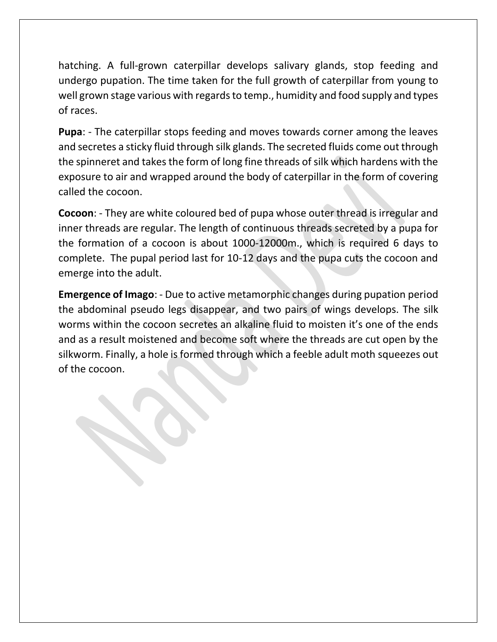hatching. A full-grown caterpillar develops salivary glands, stop feeding and undergo pupation. The time taken for the full growth of caterpillar from young to well grown stage various with regards to temp., humidity and food supply and types of races.

**Pupa**: - The caterpillar stops feeding and moves towards corner among the leaves and secretes a sticky fluid through silk glands. The secreted fluids come out through the spinneret and takes the form of long fine threads of silk which hardens with the exposure to air and wrapped around the body of caterpillar in the form of covering called the cocoon.

**Cocoon**: - They are white coloured bed of pupa whose outer thread is irregular and inner threads are regular. The length of continuous threads secreted by a pupa for the formation of a cocoon is about 1000-12000m., which is required 6 days to complete. The pupal period last for 10-12 days and the pupa cuts the cocoon and emerge into the adult.

**Emergence of Imago**: - Due to active metamorphic changes during pupation period the abdominal pseudo legs disappear, and two pairs of wings develops. The silk worms within the cocoon secretes an alkaline fluid to moisten it's one of the ends and as a result moistened and become soft where the threads are cut open by the silkworm. Finally, a hole is formed through which a feeble adult moth squeezes out of the cocoon.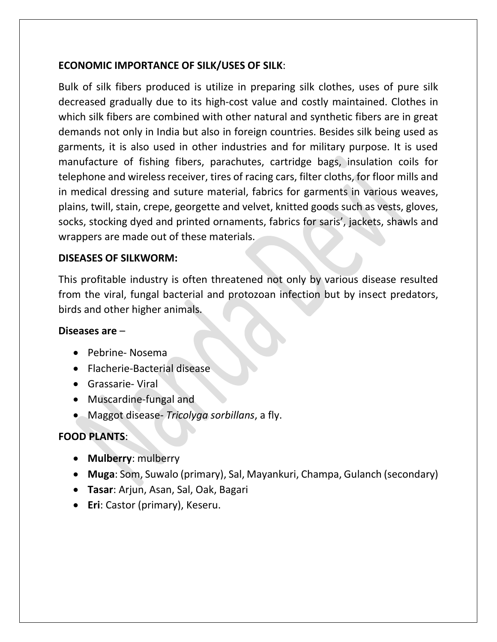## **ECONOMIC IMPORTANCE OF SILK/USES OF SILK**:

Bulk of silk fibers produced is utilize in preparing silk clothes, uses of pure silk decreased gradually due to its high-cost value and costly maintained. Clothes in which silk fibers are combined with other natural and synthetic fibers are in great demands not only in India but also in foreign countries. Besides silk being used as garments, it is also used in other industries and for military purpose. It is used manufacture of fishing fibers, parachutes, cartridge bags, insulation coils for telephone and wireless receiver, tires of racing cars, filter cloths, for floor mills and in medical dressing and suture material, fabrics for garments in various weaves, plains, twill, stain, crepe, georgette and velvet, knitted goods such as vests, gloves, socks, stocking dyed and printed ornaments, fabrics for saris', jackets, shawls and wrappers are made out of these materials.

### **DISEASES OF SILKWORM:**

This profitable industry is often threatened not only by various disease resulted from the viral, fungal bacterial and protozoan infection but by insect predators, birds and other higher animals.

### **Diseases are** –

- Pebrine- Nosema
- Flacherie-Bacterial disease
- Grassarie- Viral
- Muscardine-fungal and
- Maggot disease- *Tricolyga sorbillans*, a fly.

# **FOOD PLANTS**:

- **Mulberry**: mulberry
- **Muga**: Som, Suwalo (primary), Sal, Mayankuri, Champa, Gulanch (secondary)
- **Tasar**: Arjun, Asan, Sal, Oak, Bagari
- **Eri**: Castor (primary), Keseru.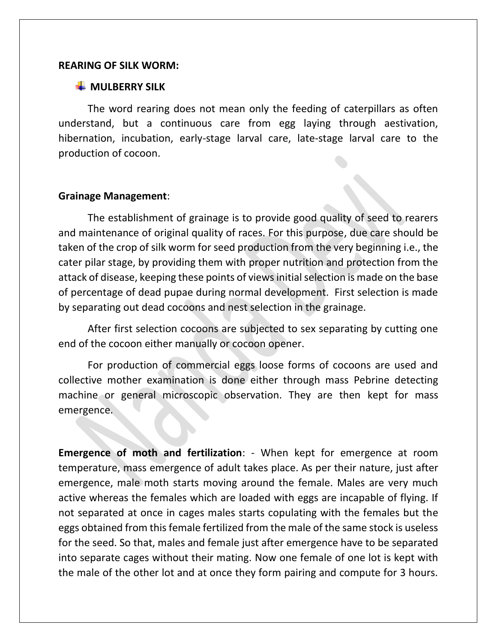#### **REARING OF SILK WORM:**

### **WULBERRY SILK**

The word rearing does not mean only the feeding of caterpillars as often understand, but a continuous care from egg laying through aestivation, hibernation, incubation, early-stage larval care, late-stage larval care to the production of cocoon.

#### **Grainage Management**:

The establishment of grainage is to provide good quality of seed to rearers and maintenance of original quality of races. For this purpose, due care should be taken of the crop of silk worm for seed production from the very beginning i.e., the cater pilar stage, by providing them with proper nutrition and protection from the attack of disease, keeping these points of viewsinitial selection is made on the base of percentage of dead pupae during normal development. First selection is made by separating out dead cocoons and nest selection in the grainage.

After first selection cocoons are subjected to sex separating by cutting one end of the cocoon either manually or cocoon opener.

For production of commercial eggs loose forms of cocoons are used and collective mother examination is done either through mass Pebrine detecting machine or general microscopic observation. They are then kept for mass emergence.

**Emergence of moth and fertilization**: - When kept for emergence at room temperature, mass emergence of adult takes place. As per their nature, just after emergence, male moth starts moving around the female. Males are very much active whereas the females which are loaded with eggs are incapable of flying. If not separated at once in cages males starts copulating with the females but the eggs obtained from this female fertilized from the male of the same stock is useless for the seed. So that, males and female just after emergence have to be separated into separate cages without their mating. Now one female of one lot is kept with the male of the other lot and at once they form pairing and compute for 3 hours.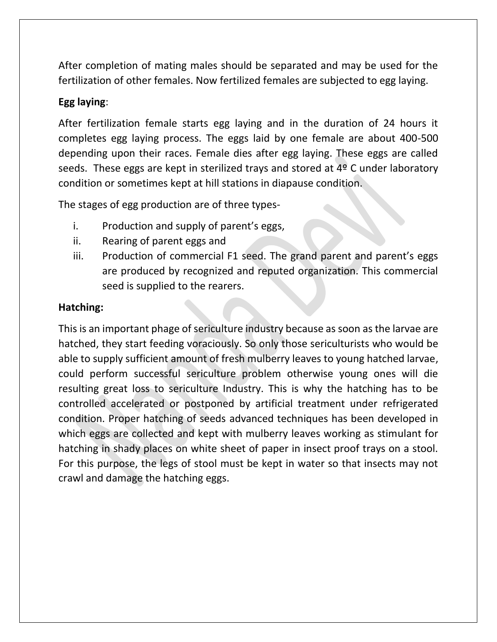After completion of mating males should be separated and may be used for the fertilization of other females. Now fertilized females are subjected to egg laying.

# **Egg laying**:

After fertilization female starts egg laying and in the duration of 24 hours it completes egg laying process. The eggs laid by one female are about 400-500 depending upon their races. Female dies after egg laying. These eggs are called seeds. These eggs are kept in sterilized trays and stored at 4º C under laboratory condition or sometimes kept at hill stations in diapause condition.

The stages of egg production are of three types-

- i. Production and supply of parent's eggs,
- ii. Rearing of parent eggs and
- iii. Production of commercial F1 seed. The grand parent and parent's eggs are produced by recognized and reputed organization. This commercial seed is supplied to the rearers.

# **Hatching:**

This is an important phage of sericulture industry because as soon as the larvae are hatched, they start feeding voraciously. So only those sericulturists who would be able to supply sufficient amount of fresh mulberry leaves to young hatched larvae, could perform successful sericulture problem otherwise young ones will die resulting great loss to sericulture Industry. This is why the hatching has to be controlled accelerated or postponed by artificial treatment under refrigerated condition. Proper hatching of seeds advanced techniques has been developed in which eggs are collected and kept with mulberry leaves working as stimulant for hatching in shady places on white sheet of paper in insect proof trays on a stool. For this purpose, the legs of stool must be kept in water so that insects may not crawl and damage the hatching eggs.